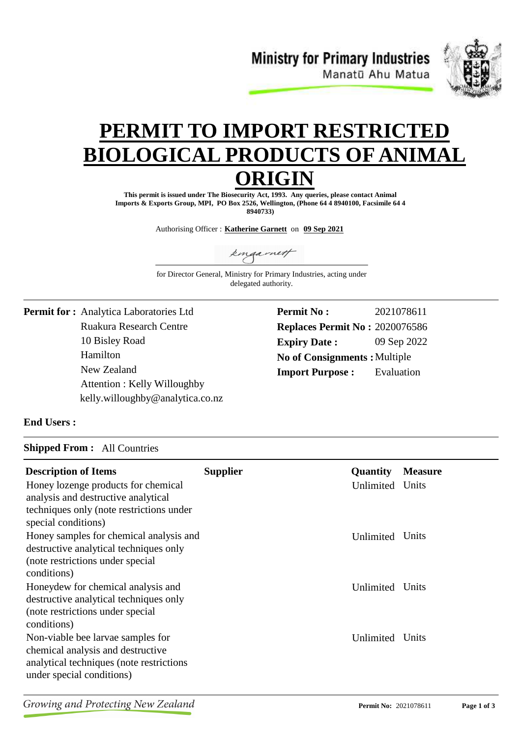**Ministry for Primary Industries** Manatū Ahu Matua



# **PERMIT TO IMPORT RESTRICTE BIOLOGICAL PRODUCTS OF ANIM ORIGIN**

**This permit is issued under The Biosecurity Act, 1993. Any queries, please contact Animal Imports & Exports Group, MPI, PO Box 2526, Wellington, (Phone 64 4 8940100, Facsimile 64 4 8940733)**

Authorising Officer : **Katherine Garnett** on **09 Sep 2021**

kingarnett

for Director General, Ministry for Primary Industries, acting under delegated authority.

Ruakura Research Centre 10 Bisley Road **Permit for :** Analytica Laboratories Ltd Hamilton New Zealand Attention : Kelly Willoughby kelly.willoughby@analytica.co.nz **Permit No : Expiry Date :** 09 Sep 2022 2021078611 **Replaces Permit No :** 2020076586 **Import Purpose :** No of Consignments : Multiple Evaluation

### **End Users :**

#### **Shipped From :** All Countries

| <b>Description of Items</b><br>Honey lozenge products for chemical<br>analysis and destructive analytical<br>techniques only (note restrictions under<br>special conditions) | <b>Supplier</b> | <b>Quantity</b><br>Unlimited | <b>Measure</b><br>Units |
|------------------------------------------------------------------------------------------------------------------------------------------------------------------------------|-----------------|------------------------------|-------------------------|
| Honey samples for chemical analysis and<br>destructive analytical techniques only<br>(note restrictions under special<br>conditions)                                         |                 | Unlimited                    | Units                   |
| Honeydew for chemical analysis and<br>destructive analytical techniques only<br>(note restrictions under special)<br>conditions)                                             |                 | Unlimited                    | Units                   |
| Non-viable bee larvae samples for<br>chemical analysis and destructive<br>analytical techniques (note restrictions)<br>under special conditions)                             |                 | Unlimited                    | Units                   |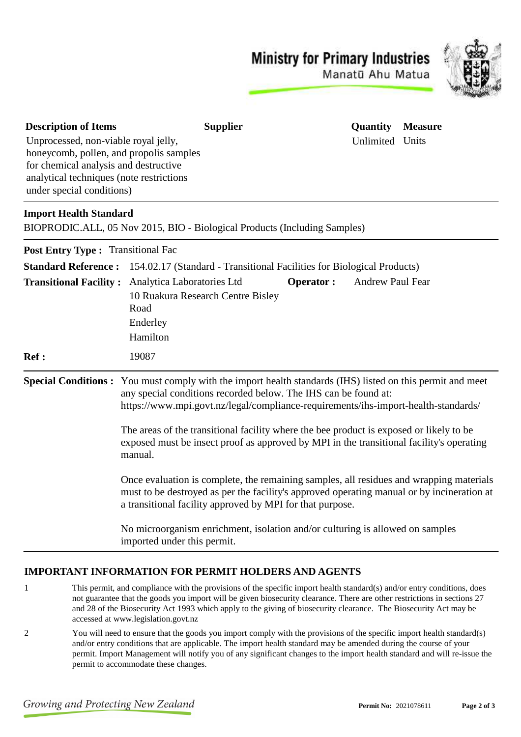## **Ministry for Primary Industries**



Manatū Ahu Matua

| <b>Description of Items</b>                                                                                                                                          | <b>Supplier</b>                                                                                                                                                                                                                                    | Quantity         | <b>Measure</b> |
|----------------------------------------------------------------------------------------------------------------------------------------------------------------------|----------------------------------------------------------------------------------------------------------------------------------------------------------------------------------------------------------------------------------------------------|------------------|----------------|
| Unprocessed, non-viable royal jelly,<br>honeycomb, pollen, and propolis samples<br>for chemical analysis and destructive<br>analytical techniques (note restrictions |                                                                                                                                                                                                                                                    | Unlimited Units  |                |
| under special conditions)                                                                                                                                            |                                                                                                                                                                                                                                                    |                  |                |
| <b>Import Health Standard</b>                                                                                                                                        | BIOPRODIC.ALL, 05 Nov 2015, BIO - Biological Products (Including Samples)                                                                                                                                                                          |                  |                |
| Post Entry Type: Transitional Fac                                                                                                                                    |                                                                                                                                                                                                                                                    |                  |                |
| <b>Standard Reference:</b>                                                                                                                                           | 154.02.17 (Standard - Transitional Facilities for Biological Products)                                                                                                                                                                             |                  |                |
| <b>Transitional Facility:</b>                                                                                                                                        | Analytica Laboratories Ltd<br><b>Operator:</b><br>10 Ruakura Research Centre Bisley<br>Road<br>Enderley<br>Hamilton                                                                                                                                | Andrew Paul Fear |                |
| <b>Ref :</b>                                                                                                                                                         | 19087                                                                                                                                                                                                                                              |                  |                |
| <b>Special Conditions:</b>                                                                                                                                           | You must comply with the import health standards (IHS) listed on this permit and meet<br>any special conditions recorded below. The IHS can be found at:<br>https://www.mpi.govt.nz/legal/compliance-requirements/ihs-import-health-standards/     |                  |                |
|                                                                                                                                                                      | The areas of the transitional facility where the bee product is exposed or likely to be<br>exposed must be insect proof as approved by MPI in the transitional facility's operating<br>manual.                                                     |                  |                |
|                                                                                                                                                                      | Once evaluation is complete, the remaining samples, all residues and wrapping materials<br>must to be destroyed as per the facility's approved operating manual or by incineration at<br>a transitional facility approved by MPI for that purpose. |                  |                |
|                                                                                                                                                                      | No microorganism enrichment, isolation and/or culturing is allowed on samples<br>imported under this permit.                                                                                                                                       |                  |                |

### **IMPORTANT INFORMATION FOR PERMIT HOLDERS AND AGENTS**

- 1 This permit, and compliance with the provisions of the specific import health standard(s) and/or entry conditions, does not guarantee that the goods you import will be given biosecurity clearance. There are other restrictions in sections 27 and 28 of the Biosecurity Act 1993 which apply to the giving of biosecurity clearance. The Biosecurity Act may be accessed at www.legislation.govt.nz
- 2 You will need to ensure that the goods you import comply with the provisions of the specific import health standard(s) and/or entry conditions that are applicable. The import health standard may be amended during the course of your permit. Import Management will notify you of any significant changes to the import health standard and will re-issue the permit to accommodate these changes.